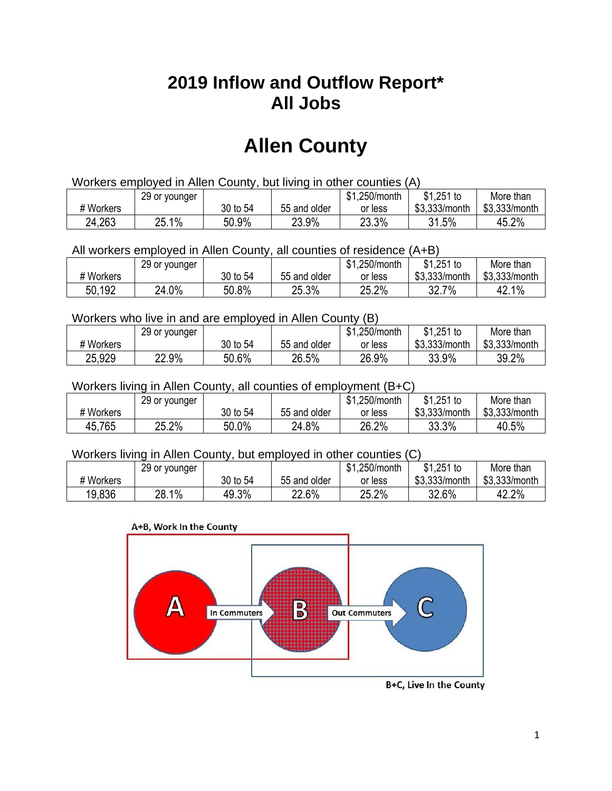## **2019 Inflow and Outflow Report\* All Jobs**

# **Allen County**

| Workers employed in Allen County, but living in other counties (A) |                                                            |          |              |         |               |               |  |  |  |
|--------------------------------------------------------------------|------------------------------------------------------------|----------|--------------|---------|---------------|---------------|--|--|--|
|                                                                    | $$1,251$ to<br>\$1.250/month<br>29 or younger<br>More than |          |              |         |               |               |  |  |  |
| # Workers                                                          |                                                            | 30 to 54 | 55 and older | or less | \$3.333/month | \$3,333/month |  |  |  |
| 24,263                                                             | 25.1%                                                      | 50.9%    | 23.9%        | 23.3%   | 31.5%         | 45.2%         |  |  |  |

All workers employed in Allen County, all counties of residence (A+B)

|           | 29 or younger |          |              | \$1,250/month | $$1,251$ to   | More than     |
|-----------|---------------|----------|--------------|---------------|---------------|---------------|
| # Workers |               | 30 to 54 | 55 and older | or less       | \$3,333/month | \$3,333/month |
| 50,192    | 24.0%         | 50.8%    | 25.3%        | 25.2%         | $7\%$<br>32.7 | 42.1%         |

#### Workers who live in and are employed in Allen County (B)

|           | 29 or younger |          |              | \$1,250/month | $$1,251$ to   | More than     |
|-----------|---------------|----------|--------------|---------------|---------------|---------------|
| # Workers |               | 30 to 54 | 55 and older | or less       | \$3,333/month | \$3,333/month |
| 25,929    | 22.9%         | 50.6%    | 26.5%        | 26.9%         | 33.9%         | 39.2%         |

#### Workers living in Allen County, all counties of employment (B+C)

|           | 29 or younger |          |              | \$1,250/month | \$1,251 to    | More than     |
|-----------|---------------|----------|--------------|---------------|---------------|---------------|
| # Workers |               | 30 to 54 | 55 and older | or less       | \$3,333/month | \$3,333/month |
| 45,765    | 25.2%         | 50.0%    | 24.8%        | 26.2%         | 33.3%         | 40.5%         |

#### Workers living in Allen County, but employed in other counties (C)

|           | 29 or younger |          |              | \$1,250/month | $$1,251$ to   | More than     |
|-----------|---------------|----------|--------------|---------------|---------------|---------------|
| # Workers |               | 30 to 54 | 55 and older | or less       | \$3,333/month | \$3,333/month |
| 19.836    | 28.1%         | 49.3%    | 22.6%        | 25.2%         | 32.6%         | 42.2%         |